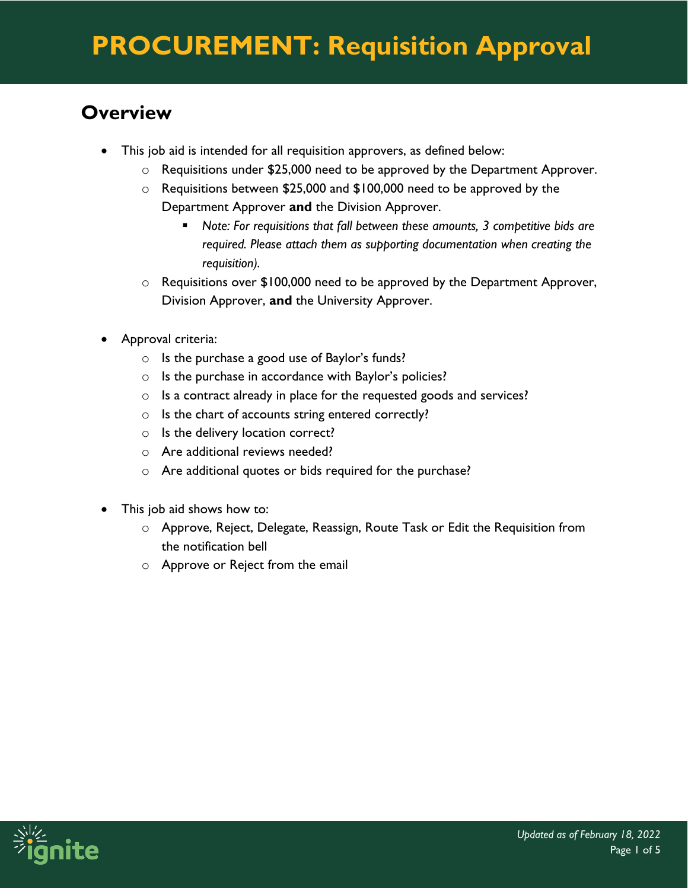#### **Overview**

- This job aid is intended for all requisition approvers, as defined below:
	- $\circ$  Requisitions under \$25,000 need to be approved by the Department Approver.
	- o Requisitions between \$25,000 and \$100,000 need to be approved by the Department Approver **and** the Division Approver.
		- *Note: For requisitions that fall between these amounts, 3 competitive bids are required. Please attach them as supporting documentation when creating the requisition).*
	- $\circ$  Requisitions over \$100,000 need to be approved by the Department Approver, Division Approver, **and** the University Approver.
- Approval criteria:
	- o Is the purchase a good use of Baylor's funds?
	- o Is the purchase in accordance with Baylor's policies?
	- o Is a contract already in place for the requested goods and services?
	- o Is the chart of accounts string entered correctly?
	- o Is the delivery location correct?
	- o Are additional reviews needed?
	- o Are additional quotes or bids required for the purchase?
- This job aid shows how to:
	- o Approve, Reject, Delegate, Reassign, Route Task or Edit the Requisition from the notification bell
	- o Approve or Reject from the email

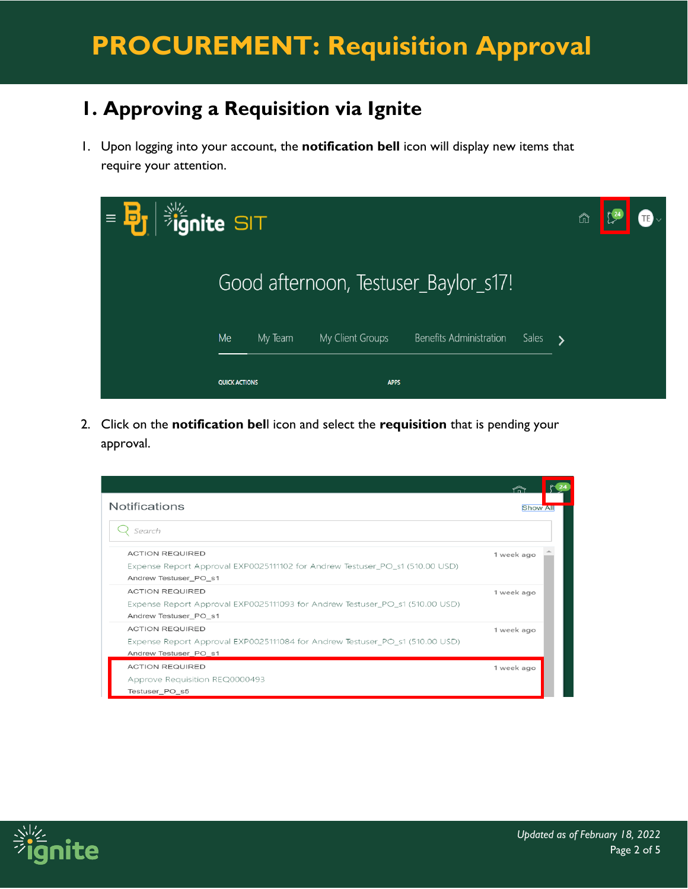### **1. Approving a Requisition via Ignite**

1. Upon logging into your account, the **notification bell** icon will display new items that require your attention.



2. Click on the **notification bel**l icon and select the **requisition** that is pending your approval.

| <b>Notifications</b>                                                         | Show All   |  |
|------------------------------------------------------------------------------|------------|--|
| Search                                                                       |            |  |
| <b>ACTION REQUIRED</b>                                                       | 1 week ago |  |
| Expense Report Approval EXP0025111102 for Andrew Testuser_PO_s1 (510.00 USD) |            |  |
| Andrew Testuser PO s1                                                        |            |  |
| <b>ACTION REQUIRED</b>                                                       | 1 week ago |  |
| Expense Report Approval EXP0025111093 for Andrew Testuser_PO_s1 (510.00 USD) |            |  |
| Andrew Testuser PO s1                                                        |            |  |
| <b>ACTION REQUIRED</b>                                                       | 1 week ago |  |
| Expense Report Approval EXP0025111084 for Andrew Testuser_PO_s1 (510.00 USD) |            |  |
| Andrew Testuser PO s1                                                        |            |  |
| <b>ACTION REQUIRED</b>                                                       | 1 week ago |  |
| Approve Requisition REQ0000493                                               |            |  |
| Testuser PO s5                                                               |            |  |

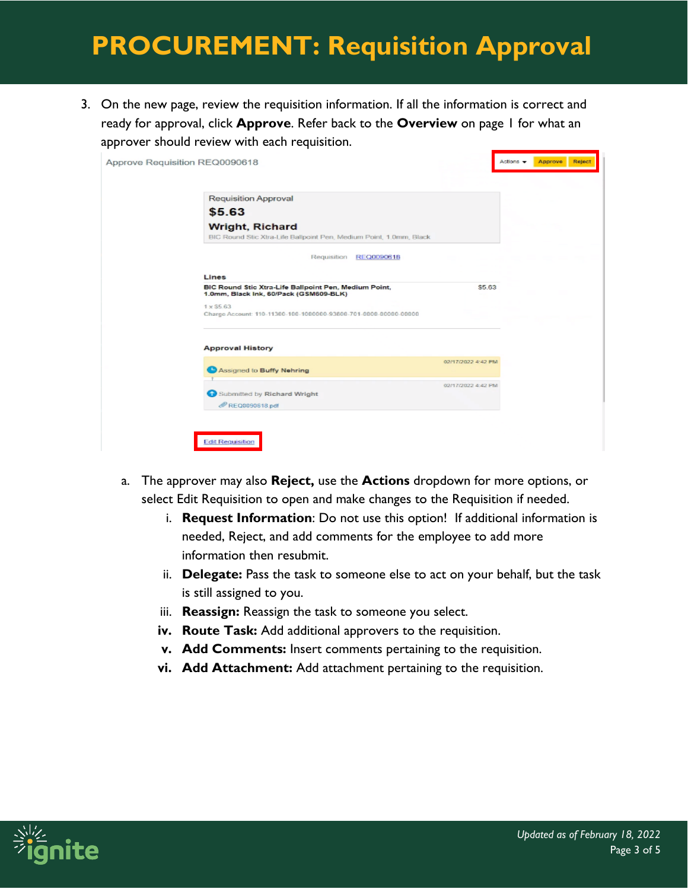3. On the new page, review the requisition information. If all the information is correct and ready for approval, click **Approve**. Refer back to the **Overview** on page 1 for what an approver should review with each requisition.

| Approve Requisition REQ0090618 |                                                                                                                     |                    | Actions $\mathbf{v}$ | Approve | Reject |
|--------------------------------|---------------------------------------------------------------------------------------------------------------------|--------------------|----------------------|---------|--------|
|                                | <b>Requisition Approval</b>                                                                                         |                    |                      |         |        |
|                                | \$5.63                                                                                                              |                    |                      |         |        |
|                                | <b>Wright, Richard</b><br>BIC Round Stic Xtra-Life Ballpoint Pen, Medium Point, 1.0mm, Black                        |                    |                      |         |        |
|                                | Requisition REQ0090618                                                                                              |                    |                      |         |        |
|                                | Lines                                                                                                               |                    |                      |         |        |
|                                | BIC Round Stic Xtra-Life Ballpoint Pen, Medium Point,<br>1.0mm, Black Ink, 60/Pack (GSM609-BLK)<br>$1 \times $5.63$ | S <sub>5.63</sub>  |                      |         |        |
|                                | Charge Account: 110-11300-100-1000000-93800-701-0000-00000-00000                                                    |                    |                      |         |        |
|                                | <b>Approval History</b>                                                                                             |                    |                      |         |        |
|                                | Assigned to Buffy Nohring                                                                                           | 02/17/2022 4:42 PM |                      |         |        |
|                                | Submitted by Richard Wright                                                                                         | 02/17/2022 4:42 PM |                      |         |        |
|                                | REQ0090618.pdf                                                                                                      |                    |                      |         |        |
|                                |                                                                                                                     |                    |                      |         |        |
|                                |                                                                                                                     |                    |                      |         |        |
|                                | dit Requisition                                                                                                     |                    |                      |         |        |

- a. The approver may also **Reject,** use the **Actions** dropdown for more options, or select Edit Requisition to open and make changes to the Requisition if needed.
	- i. **Request Information**: Do not use this option! If additional information is needed, Reject, and add comments for the employee to add more information then resubmit.
	- ii. **Delegate:** Pass the task to someone else to act on your behalf, but the task is still assigned to you.
	- iii. **Reassign:** Reassign the task to someone you select.
	- **iv. Route Task:** Add additional approvers to the requisition.
	- **v. Add Comments:** Insert comments pertaining to the requisition.
	- **vi. Add Attachment:** Add attachment pertaining to the requisition.

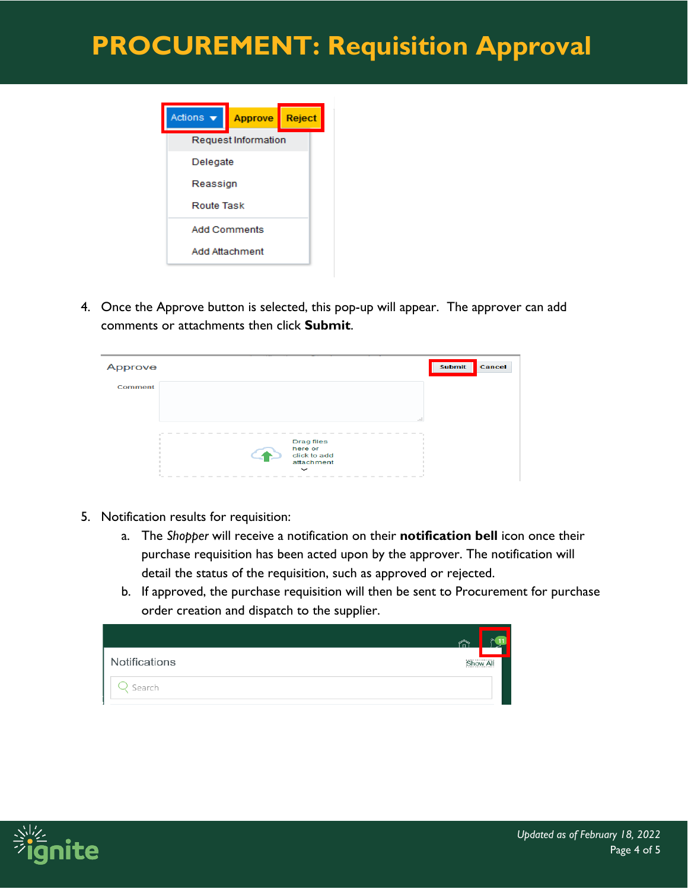

4. Once the Approve button is selected, this pop-up will appear. The approver can add comments or attachments then click **Submit**.

| Approve        |                                                                                                                                                                                                                                                                                                                                                                                                                                                                                                                                                                                                                                                                                                                                                                                                                                                                                                                                                                                                                                                                                                                                                                                | <b>Submit</b> | Cancel |
|----------------|--------------------------------------------------------------------------------------------------------------------------------------------------------------------------------------------------------------------------------------------------------------------------------------------------------------------------------------------------------------------------------------------------------------------------------------------------------------------------------------------------------------------------------------------------------------------------------------------------------------------------------------------------------------------------------------------------------------------------------------------------------------------------------------------------------------------------------------------------------------------------------------------------------------------------------------------------------------------------------------------------------------------------------------------------------------------------------------------------------------------------------------------------------------------------------|---------------|--------|
| <b>Comment</b> | $\frac{1}{2}$                                                                                                                                                                                                                                                                                                                                                                                                                                                                                                                                                                                                                                                                                                                                                                                                                                                                                                                                                                                                                                                                                                                                                                  |               |        |
|                | Drag files<br>here or<br>click to add<br>attachment<br>$\check{ }$<br><b>STATES</b><br>___<br><b>STATE</b><br><b>STATE</b><br>___<br><b>STATE</b><br>$\frac{1}{2} \left( \frac{1}{2} \right) \left( \frac{1}{2} \right) \left( \frac{1}{2} \right) \left( \frac{1}{2} \right) \left( \frac{1}{2} \right) \left( \frac{1}{2} \right) \left( \frac{1}{2} \right) \left( \frac{1}{2} \right) \left( \frac{1}{2} \right) \left( \frac{1}{2} \right) \left( \frac{1}{2} \right) \left( \frac{1}{2} \right) \left( \frac{1}{2} \right) \left( \frac{1}{2} \right) \left( \frac{1}{2} \right) \left( \frac{1}{2} \right) \left( \frac$<br>$\frac{1}{2} \left( \frac{1}{2} \right) \left( \frac{1}{2} \right) \left( \frac{1}{2} \right) \left( \frac{1}{2} \right) \left( \frac{1}{2} \right) \left( \frac{1}{2} \right) \left( \frac{1}{2} \right) \left( \frac{1}{2} \right) \left( \frac{1}{2} \right) \left( \frac{1}{2} \right) \left( \frac{1}{2} \right) \left( \frac{1}{2} \right) \left( \frac{1}{2} \right) \left( \frac{1}{2} \right) \left( \frac{1}{2} \right) \left( \frac{1}{2} \right) \left( \frac$<br><b>STATE</b><br><b>STATE</b><br><b>STATES</b><br><b>STATE</b> |               |        |

- 5. Notification results for requisition:
	- a. The *Shopper* will receive a notification on their **notification bell** icon once their purchase requisition has been acted upon by the approver. The notification will detail the status of the requisition, such as approved or rejected.
	- b. If approved, the purchase requisition will then be sent to Procurement for purchase order creation and dispatch to the supplier.

|               | m                                  |  |
|---------------|------------------------------------|--|
| Notifications | Show All<br><b>***************</b> |  |
| Search        |                                    |  |